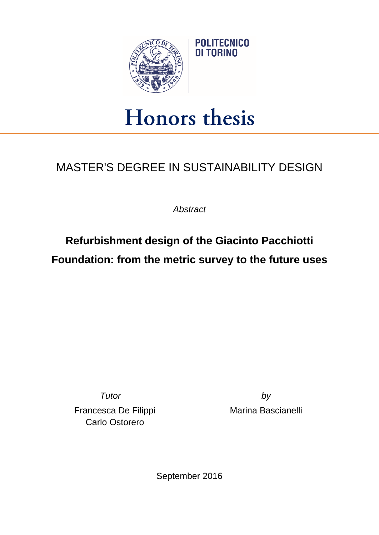

## Honors thesis

## MASTER'S DEGREE IN SUSTAINABILITY DESIGN

*Abstract*

**Refurbishment design of the Giacinto Pacchiotti Foundation: from the metric survey to the future uses**

*Tutor by* Francesca De Filippi Carlo Ostorero

Marina Bascianelli

September 2016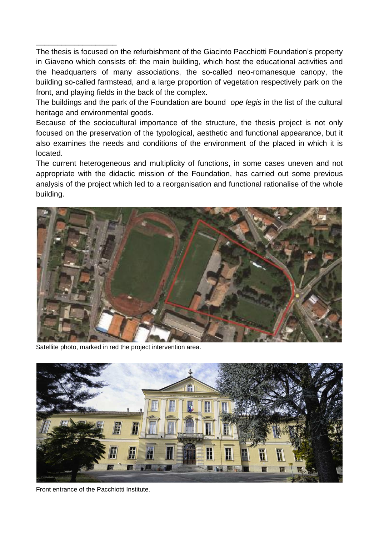The thesis is focused on the refurbishment of the Giacinto Pacchiotti Foundation's property in Giaveno which consists of: the main building, which host the educational activities and the headquarters of many associations, the so-called neo-romanesque canopy, the building so-called farmstead, and a large proportion of vegetation respectively park on the front, and playing fields in the back of the complex.

The buildings and the park of the Foundation are bound *ope legis* in the list of the cultural heritage and environmental goods.

Because of the sociocultural importance of the structure, the thesis project is not only focused on the preservation of the typological, aesthetic and functional appearance, but it also examines the needs and conditions of the environment of the placed in which it is located.

The current heterogeneous and multiplicity of functions, in some cases uneven and not appropriate with the didactic mission of the Foundation, has carried out some previous analysis of the project which led to a reorganisation and functional rationalise of the whole building.



Satellite photo, marked in red the project intervention area.

\_\_\_\_\_\_\_\_\_\_\_\_\_\_\_\_\_\_\_



Front entrance of the Pacchiotti Institute.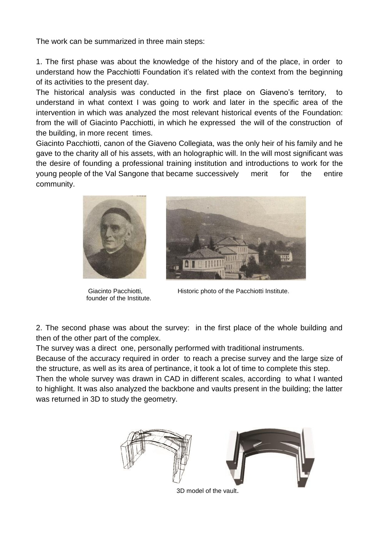The work can be summarized in three main steps:

1. The first phase was about the knowledge of the history and of the place, in order to understand how the Pacchiotti Foundation it's related with the context from the beginning of its activities to the present day.

The historical analysis was conducted in the first place on Giaveno's territory, to understand in what context I was going to work and later in the specific area of the intervention in which was analyzed the most relevant historical events of the Foundation: from the will of Giacinto Pacchiotti, in which he expressed the will of the construction of the building, in more recent times.

Giacinto Pacchiotti, canon of the Giaveno Collegiata, was the only heir of his family and he gave to the charity all of his assets, with an holographic will. In the will most significant was the desire of founding a professional training institution and introductions to work for the young people of the Val Sangone that became successively merit for the entire community.



founder of the Institute.



Giacinto Pacchiotti, **Historic photo of the Pacchiotti Institute.** 

2. The second phase was about the survey: in the first place of the whole building and then of the other part of the complex.

The survey was a direct one, personally performed with traditional instruments.

Because of the accuracy required in order to reach a precise survey and the large size of the structure, as well as its area of pertinance, it took a lot of time to complete this step.

Then the whole survey was drawn in CAD in different scales, according to what I wanted to highlight. It was also analyzed the backbone and vaults present in the building; the latter was returned in 3D to study the geometry.



3D model of the vault.